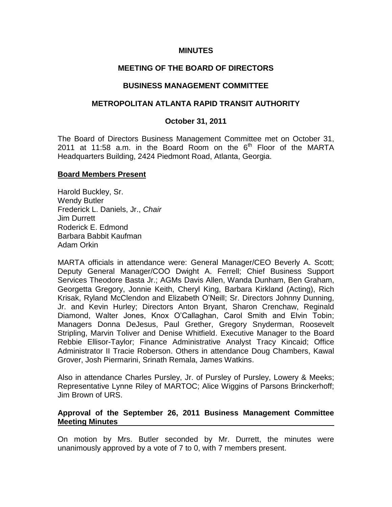### **MINUTES**

### **MEETING OF THE BOARD OF DIRECTORS**

### **BUSINESS MANAGEMENT COMMITTEE**

### **METROPOLITAN ATLANTA RAPID TRANSIT AUTHORITY**

### **October 31, 2011**

The Board of Directors Business Management Committee met on October 31, 2011 at 11:58 a.m. in the Board Room on the  $6<sup>th</sup>$  Floor of the MARTA Headquarters Building, 2424 Piedmont Road, Atlanta, Georgia.

#### **Board Members Present**

Harold Buckley, Sr. Wendy Butler Frederick L. Daniels, Jr., *Chair* Jim Durrett Roderick E. Edmond Barbara Babbit Kaufman Adam Orkin

MARTA officials in attendance were: General Manager/CEO Beverly A. Scott; Deputy General Manager/COO Dwight A. Ferrell; Chief Business Support Services Theodore Basta Jr.; AGMs Davis Allen, Wanda Dunham, Ben Graham, Georgetta Gregory, Jonnie Keith, Cheryl King, Barbara Kirkland (Acting), Rich Krisak, Ryland McClendon and Elizabeth O'Neill; Sr. Directors Johnny Dunning, Jr. and Kevin Hurley; Directors Anton Bryant, Sharon Crenchaw, Reginald Diamond, Walter Jones, Knox O'Callaghan, Carol Smith and Elvin Tobin; Managers Donna DeJesus, Paul Grether, Gregory Snyderman, Roosevelt Stripling, Marvin Toliver and Denise Whitfield. Executive Manager to the Board Rebbie Ellisor-Taylor; Finance Administrative Analyst Tracy Kincaid; Office Administrator II Tracie Roberson. Others in attendance Doug Chambers, Kawal Grover, Josh Piermarini, Srinath Remala, James Watkins.

Also in attendance Charles Pursley, Jr. of Pursley of Pursley, Lowery & Meeks; Representative Lynne Riley of MARTOC; Alice Wiggins of Parsons Brinckerhoff; Jim Brown of URS.

### **Approval of the September 26, 2011 Business Management Committee Meeting Minutes**

On motion by Mrs. Butler seconded by Mr. Durrett, the minutes were unanimously approved by a vote of 7 to 0, with 7 members present.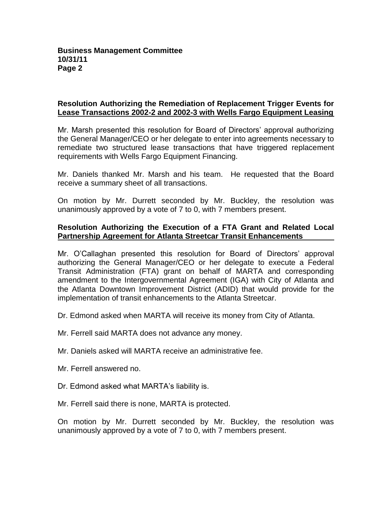## **Resolution Authorizing the Remediation of Replacement Trigger Events for Lease Transactions 2002-2 and 2002-3 with Wells Fargo Equipment Leasing**

Mr. Marsh presented this resolution for Board of Directors' approval authorizing the General Manager/CEO or her delegate to enter into agreements necessary to remediate two structured lease transactions that have triggered replacement requirements with Wells Fargo Equipment Financing.

Mr. Daniels thanked Mr. Marsh and his team. He requested that the Board receive a summary sheet of all transactions.

On motion by Mr. Durrett seconded by Mr. Buckley, the resolution was unanimously approved by a vote of 7 to 0, with 7 members present.

### **Resolution Authorizing the Execution of a FTA Grant and Related Local Partnership Agreement for Atlanta Streetcar Transit Enhancements**

Mr. O'Callaghan presented this resolution for Board of Directors' approval authorizing the General Manager/CEO or her delegate to execute a Federal Transit Administration (FTA) grant on behalf of MARTA and corresponding amendment to the Intergovernmental Agreement (IGA) with City of Atlanta and the Atlanta Downtown Improvement District (ADID) that would provide for the implementation of transit enhancements to the Atlanta Streetcar.

Dr. Edmond asked when MARTA will receive its money from City of Atlanta.

Mr. Ferrell said MARTA does not advance any money.

Mr. Daniels asked will MARTA receive an administrative fee.

Mr. Ferrell answered no.

Dr. Edmond asked what MARTA's liability is.

Mr. Ferrell said there is none, MARTA is protected.

On motion by Mr. Durrett seconded by Mr. Buckley, the resolution was unanimously approved by a vote of 7 to 0, with 7 members present.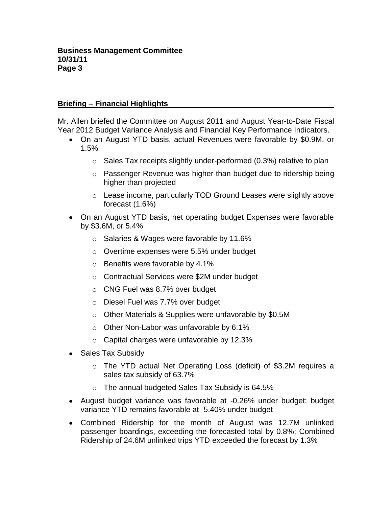## **Briefing – Financial Highlights**

Mr. Allen briefed the Committee on August 2011 and August Year-to-Date Fiscal Year 2012 Budget Variance Analysis and Financial Key Performance Indicators.

- On an August YTD basis, actual Revenues were favorable by \$0.9M, or 1.5%
	- $\circ$  Sales Tax receipts slightly under-performed (0.3%) relative to plan
	- $\circ$  Passenger Revenue was higher than budget due to ridership being higher than projected
	- o Lease income, particularly TOD Ground Leases were slightly above forecast (1.6%)
- On an August YTD basis, net operating budget Expenses were favorable by \$3.6M, or 5.4%
	- o Salaries & Wages were favorable by 11.6%
	- o Overtime expenses were 5.5% under budget
	- o Benefits were favorable by 4.1%
	- o Contractual Services were \$2M under budget
	- o CNG Fuel was 8.7% over budget
	- o Diesel Fuel was 7.7% over budget
	- o Other Materials & Supplies were unfavorable by \$0.5M
	- o Other Non-Labor was unfavorable by 6.1%
	- o Capital charges were unfavorable by 12.3%
- Sales Tax Subsidy
	- o The YTD actual Net Operating Loss (deficit) of \$3.2M requires a sales tax subsidy of 63.7%
	- o The annual budgeted Sales Tax Subsidy is 64.5%
- August budget variance was favorable at -0.26% under budget; budget variance YTD remains favorable at -5.40% under budget
- Combined Ridership for the month of August was 12.7M unlinked passenger boardings, exceeding the forecasted total by 0.8%; Combined Ridership of 24.6M unlinked trips YTD exceeded the forecast by 1.3%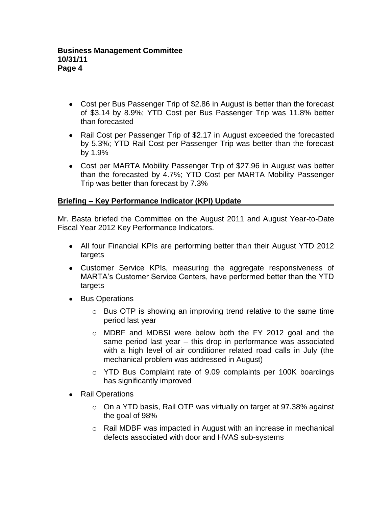- Cost per Bus Passenger Trip of \$2.86 in August is better than the forecast of \$3.14 by 8.9%; YTD Cost per Bus Passenger Trip was 11.8% better than forecasted
- Rail Cost per Passenger Trip of \$2.17 in August exceeded the forecasted by 5.3%; YTD Rail Cost per Passenger Trip was better than the forecast by 1.9%
- Cost per MARTA Mobility Passenger Trip of \$27.96 in August was better than the forecasted by 4.7%; YTD Cost per MARTA Mobility Passenger Trip was better than forecast by 7.3%

# **Briefing – Key Performance Indicator (KPI) Update**

Mr. Basta briefed the Committee on the August 2011 and August Year-to-Date Fiscal Year 2012 Key Performance Indicators.

- All four Financial KPIs are performing better than their August YTD 2012 targets
- Customer Service KPIs, measuring the aggregate responsiveness of MARTA's Customer Service Centers, have performed better than the YTD targets
- Bus Operations
	- o Bus OTP is showing an improving trend relative to the same time period last year
	- $\circ$  MDBF and MDBSI were below both the FY 2012 goal and the same period last year – this drop in performance was associated with a high level of air conditioner related road calls in July (the mechanical problem was addressed in August)
	- o YTD Bus Complaint rate of 9.09 complaints per 100K boardings has significantly improved
- Rail Operations
	- o On a YTD basis, Rail OTP was virtually on target at 97.38% against the goal of 98%
	- $\circ$  Rail MDBF was impacted in August with an increase in mechanical defects associated with door and HVAS sub-systems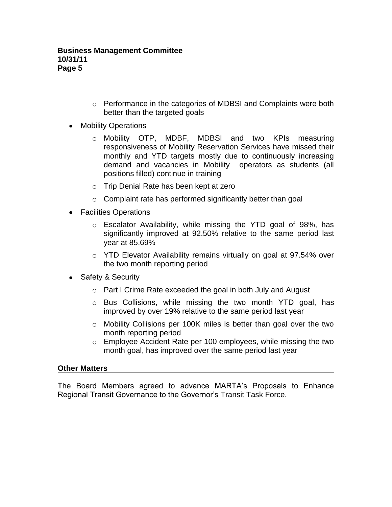- o Performance in the categories of MDBSI and Complaints were both better than the targeted goals
- Mobility Operations
	- o Mobility OTP, MDBF, MDBSI and two KPIs measuring responsiveness of Mobility Reservation Services have missed their monthly and YTD targets mostly due to continuously increasing demand and vacancies in Mobility operators as students (all positions filled) continue in training
	- o Trip Denial Rate has been kept at zero
	- $\circ$  Complaint rate has performed significantly better than goal
- Facilities Operations
	- o Escalator Availability, while missing the YTD goal of 98%, has significantly improved at 92.50% relative to the same period last year at 85.69%
	- o YTD Elevator Availability remains virtually on goal at 97.54% over the two month reporting period
- Safety & Security
	- o Part I Crime Rate exceeded the goal in both July and August
	- $\circ$  Bus Collisions, while missing the two month YTD goal, has improved by over 19% relative to the same period last year
	- o Mobility Collisions per 100K miles is better than goal over the two month reporting period
	- o Employee Accident Rate per 100 employees, while missing the two month goal, has improved over the same period last year

#### **Other Matters**

The Board Members agreed to advance MARTA's Proposals to Enhance Regional Transit Governance to the Governor's Transit Task Force.